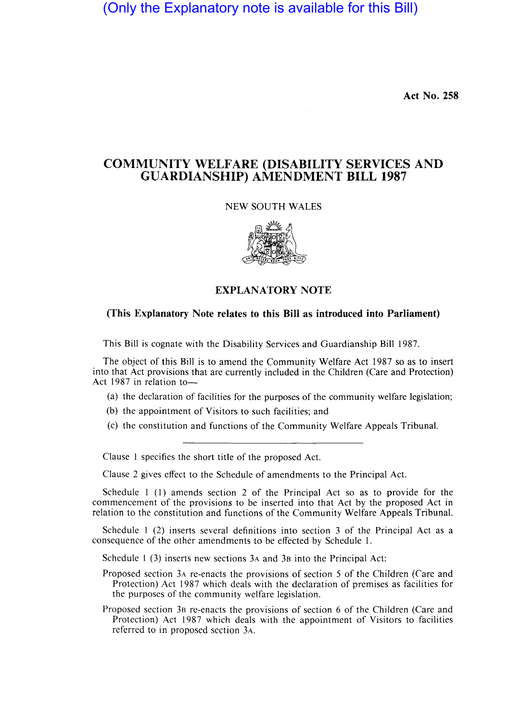(Only the Explanatory note is available for this Bill)

**Act No. 258** 

# **COMMUNITY WELFARE (DISABILITY SERVICES AND GUARDIANSHIP) AMENDMENT BILL 1987**

NEW SOUTH WALES



# **EXPLANATORY NOTE**

# **(This Explanatory Note relates to this Bill as introduced into Parliament)**

This Bill is cognate with the Disability Services and Guardianship Bill 1987.

The object of this Bill is to amend the Community Welfare Act 1987 so as to insert into that Act provisions that are currently included in the Children (Care and Protection) Act 1987 in relation to-

- (a) the declaration of facilities for the purposes of the community welfare legislation;
- (b) the appointment of Visitors to such facilities; and
- (c) the constitution and functions of the Community Welfare Appeals Tribunal.

Clause I specifies the short title of the proposed Act.

Clause 2 gives effect to the Schedule of amendments to the Principal Act.

Schedule I (I) amends section 2 of the Principal Act so as to provide for the commencement of the provisions to be inserted into that Act by the proposed Act in relation to the constitution and functions of the Community Welfare Appeals Tribunal.

Schedule I (2) inserts several definitions into section 3 of the Principal Act as a consequence of the other amendments to be effected by Schedule I.

Schedule I (3) inserts new sections 3A and 38 into the Principal Act:

Proposed section 3A re-enacts the provisions of section 5 of the Children (Care and Protection) Act 1987 which deals with the declaration of premises as facilities for the purposes of the community welfare legislation.

Proposed section 38 re-enacts the provisions of section 6 of the Children (Care and Protection) Act 1987 which deals with the appointment of Visitors to facilities referred to in proposed section 3A.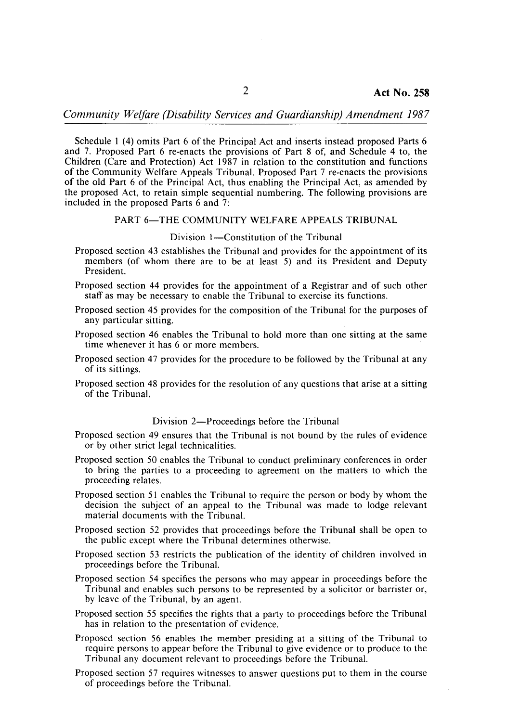Schedule 1 (4) omits Part 6 of the Principal Act and inserts instead proposed Parts 6 and 7. Proposed Part 6 re-enacts the provisions of Part 8 of, and Schedule 4 to, the Children (Care and Protection) Act 1987 in relation to the constitution and functions of the Community Welfare Appeals Tribunal. Proposed Part 7 re-enacts the provisions of the old Part 6 of the Principal Act, thus enabling the Principal Act, as amended by the proposed Act, to retain simple sequential numbering. The following provisions are included in the proposed Parts 6 and 7:

### PART 6-THE COMMUNITY WELFARE APPEALS TRIBUNAL

#### Division 1—Constitution of the Tribunal

- Proposed section 43 establishes the Tribunal and provides for the appointment of its members (of whom there are to be at least 5) and its President and Deputy President.
- Proposed section 44 provides for the appointment of a Registrar and of such other staff as may be necessary to enable the Tribunal to exercise its functions.
- Proposed section 45 provides for the composition of the Tribunal for the purposes of any particular sitting.
- Proposed section 46 enables the Tribunal to hold more than one sitting at the same time whenever it has 6 or more members.
- Proposed section 47 provides for the procedure to be followed by the Tribunal at any of its sittings.
- Proposed section 48 provides for the resolution of any questions that arise at a sitting of the Tribunal.

#### Division 2—Proceedings before the Tribunal

- Proposed section 49 ensures that the Tribunal is not bound by the rules of evidence or by other strict legal technicalities.
- Proposed section 50 enables the Tribunal to conduct preliminary conferences in order to bring the parties to a proceeding to agreement on the matters to which the proceeding relates.
- Proposed section 51 enables the Tribunal to require the person or body by whom the decision the subject of an appeal to the Tribunal was made to lodge relevant material documents with the Tribunal.
- Proposed section 52 provides that proceedings before the Tribunal shall be open to the public except where the Tribunal determines otherwise.
- Proposed section 53 restricts the publication of the identity of children involved in proceedings before the Tribunal.
- Proposed section 54 specifies the persons who may appear in proceedings before the Tribunal and enables such persons to be represented by a solicitor or barrister or, by leave of the Tribunal, by an agent.
- Proposed section 55 specifies the rights that a party to proceedings before the Tribunal has in relation to the presentation of evidence.
- Proposed section 56 enables the member presiding at a sitting of the Tribunal to require persons to appear before the Tribunal to give evidence or to produce to the Tribunal any document relevant to proceedings before the Tribunal.
- Proposed section 57 requires witnesses to answer questions put to them in the course of proceedings before the Tribunal.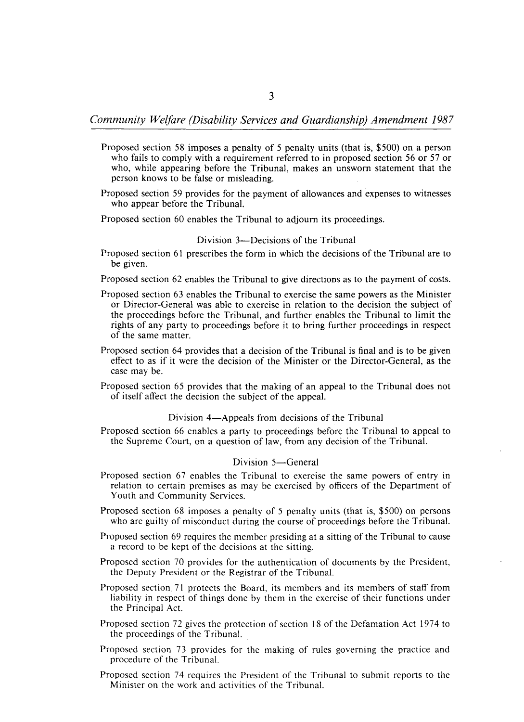- Proposed section 58 imposes a penalty of 5 penalty units (that is, \$500) on a person who fails to comply with a requirement referred to in proposed section 56 or 57 or who, while appearing before the Tribunal, makes an unsworn statement that the person knows to be false or misleading.
- Proposed section 59 provides for the payment of allowances and expenses to witnesses who appear before the Tribunal.
- Proposed section 60 enables the Tribunal to adjourn its proceedings.

#### Division 3—Decisions of the Tribunal

- Proposed section 61 prescribes the form in which the decisions of the Tribunal are to be given.
- Proposed section 62 enables the Tribunal to give directions as to the payment of costs.
- Proposed section 63 enables the Tribunal to exercise the same powers as the Minister or Director-General was able to exercise in relation to the decision the subject of the proceedings before the Tribunal, and further enables the Tribunal to limit the rights of any party to proceedings before it to bring further proceedings in respect of the same matter.
- Proposed section 64 provides that a decision of the Tribunal is final and is to be given effect to as if it were the decision of the Minister or the Director-General, as the case may be.
- Proposed section 65 provides that the making of an appeal to the Tribunal does not of itself affect the decision the subject of the appeal.

#### Division 4—Appeals from decisions of the Tribunal

Proposed section 66 enables a party to proceedings before the Tribunal to appeal to the Supreme Court, on a question of law, from any decision of the Tribunal.

#### Division 5-General

- Proposed section 67 enables the Tribunal to exercise the same powers of entry in relation to certain premises as may be exercised by officers of the Department of Youth and Community Services.
- Proposed section 68 imposes a penalty of 5 penalty units (that is, \$500) on persons who are guilty of misconduct during the course of proceedings before the Tribunal.
- Proposed section 69 requires the member presiding at a sitting of the Tribunal to cause a record to be kept of the decisions at the sitting.
- Proposed section 70 provides for the authentication of documents by the President, the Deputy President or the Registrar of the Tribunal.
- Proposed section 71 protects the Board, its members and its members of staff from liability in respect of things done by them in the exercise of their functions under the Principal Act.
- Proposed section 72 gives the protection of section 18 of the Defamation Act 1974 to the proceedings of the Tribunal.
- Proposed section 73 provides for the making of rules governing the practice and procedure of the Tribunal.
- Proposed section 74 requires the President of the Tribunal to submit reports to the Minister on the work and activities of the Tribunal.